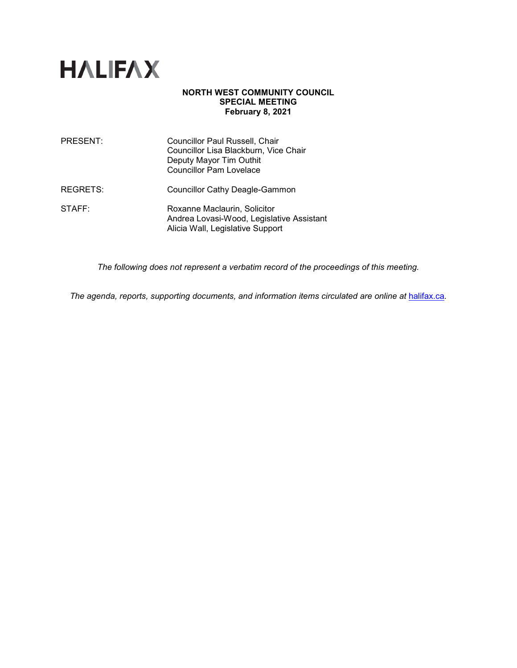

# **NORTH WEST COMMUNITY COUNCIL SPECIAL MEETING February 8, 2021**

| PRESENT: | Councillor Paul Russell, Chair<br>Councillor Lisa Blackburn, Vice Chair<br>Deputy Mayor Tim Outhit<br><b>Councillor Pam Lovelace</b> |
|----------|--------------------------------------------------------------------------------------------------------------------------------------|
| REGRETS: | <b>Councillor Cathy Deagle-Gammon</b>                                                                                                |
| STATE:   | Roxanne Maclaurin, Solicitor<br>Andrea Lovasi-Wood, Legislative Assistant<br>Alicia Wall, Legislative Support                        |

*The following does not represent a verbatim record of the proceedings of this meeting.*

*The agenda, reports, supporting documents, and information items circulated are online at* [halifax.ca](http://www.halifax.ca/)*.*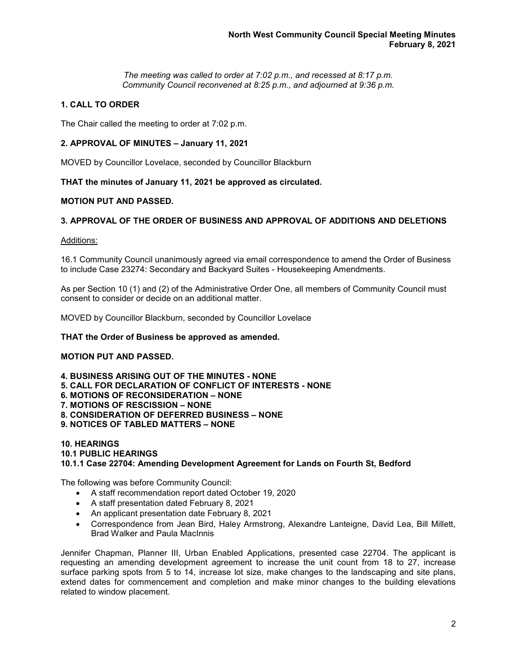*The meeting was called to order at 7:02 p.m., and recessed at 8:17 p.m. Community Council reconvened at 8:25 p.m., and adjourned at 9:36 p.m.*

# **1. CALL TO ORDER**

The Chair called the meeting to order at 7:02 p.m.

### **2. APPROVAL OF MINUTES – January 11, 2021**

MOVED by Councillor Lovelace, seconded by Councillor Blackburn

**THAT the minutes of January 11, 2021 be approved as circulated.**

## **MOTION PUT AND PASSED.**

### **3. APPROVAL OF THE ORDER OF BUSINESS AND APPROVAL OF ADDITIONS AND DELETIONS**

### Additions:

16.1 Community Council unanimously agreed via email correspondence to amend the Order of Business to include Case 23274: Secondary and Backyard Suites - Housekeeping Amendments.

As per Section 10 (1) and (2) of the Administrative Order One, all members of Community Council must consent to consider or decide on an additional matter.

MOVED by Councillor Blackburn, seconded by Councillor Lovelace

### **THAT the Order of Business be approved as amended.**

### **MOTION PUT AND PASSED.**

**4. BUSINESS ARISING OUT OF THE MINUTES - NONE**

- **5. CALL FOR DECLARATION OF CONFLICT OF INTERESTS - NONE**
- **6. MOTIONS OF RECONSIDERATION – NONE**
- **7. MOTIONS OF RESCISSION – NONE**
- **8. CONSIDERATION OF DEFERRED BUSINESS – NONE**
- **9. NOTICES OF TABLED MATTERS – NONE**

### **10. HEARINGS 10.1 PUBLIC HEARINGS 10.1.1 Case 22704: Amending Development Agreement for Lands on Fourth St, Bedford**

The following was before Community Council:

- A staff recommendation report dated October 19, 2020
- A staff presentation dated February 8, 2021
- An applicant presentation date February 8, 2021
- Correspondence from Jean Bird, Haley Armstrong, Alexandre Lanteigne, David Lea, Bill Millett, Brad Walker and Paula MacInnis

Jennifer Chapman, Planner III, Urban Enabled Applications, presented case 22704. The applicant is requesting an amending development agreement to increase the unit count from 18 to 27, increase surface parking spots from 5 to 14, increase lot size, make changes to the landscaping and site plans, extend dates for commencement and completion and make minor changes to the building elevations related to window placement.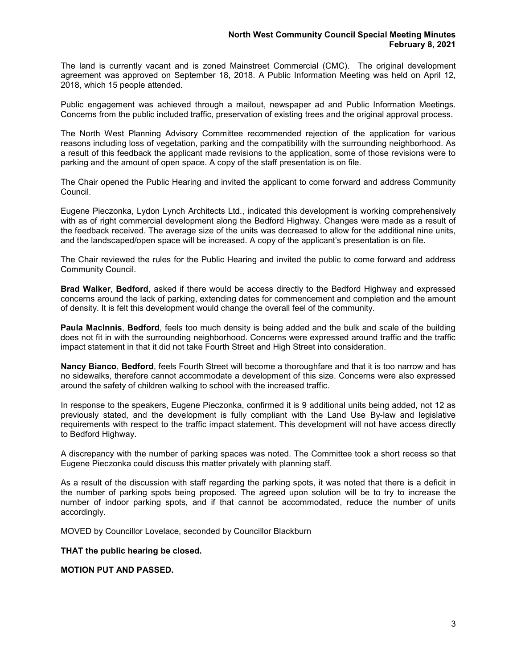The land is currently vacant and is zoned Mainstreet Commercial (CMC). The original development agreement was approved on September 18, 2018. A Public Information Meeting was held on April 12, 2018, which 15 people attended.

Public engagement was achieved through a mailout, newspaper ad and Public Information Meetings. Concerns from the public included traffic, preservation of existing trees and the original approval process.

The North West Planning Advisory Committee recommended rejection of the application for various reasons including loss of vegetation, parking and the compatibility with the surrounding neighborhood. As a result of this feedback the applicant made revisions to the application, some of those revisions were to parking and the amount of open space. A copy of the staff presentation is on file.

The Chair opened the Public Hearing and invited the applicant to come forward and address Community Council.

Eugene Pieczonka, Lydon Lynch Architects Ltd., indicated this development is working comprehensively with as of right commercial development along the Bedford Highway. Changes were made as a result of the feedback received. The average size of the units was decreased to allow for the additional nine units, and the landscaped/open space will be increased. A copy of the applicant's presentation is on file.

The Chair reviewed the rules for the Public Hearing and invited the public to come forward and address Community Council.

**Brad Walker**, **Bedford**, asked if there would be access directly to the Bedford Highway and expressed concerns around the lack of parking, extending dates for commencement and completion and the amount of density. It is felt this development would change the overall feel of the community.

**Paula MacInnis**, **Bedford**, feels too much density is being added and the bulk and scale of the building does not fit in with the surrounding neighborhood. Concerns were expressed around traffic and the traffic impact statement in that it did not take Fourth Street and High Street into consideration.

**Nancy Bianco**, **Bedford**, feels Fourth Street will become a thoroughfare and that it is too narrow and has no sidewalks, therefore cannot accommodate a development of this size. Concerns were also expressed around the safety of children walking to school with the increased traffic.

In response to the speakers, Eugene Pieczonka, confirmed it is 9 additional units being added, not 12 as previously stated, and the development is fully compliant with the Land Use By-law and legislative requirements with respect to the traffic impact statement. This development will not have access directly to Bedford Highway.

A discrepancy with the number of parking spaces was noted. The Committee took a short recess so that Eugene Pieczonka could discuss this matter privately with planning staff.

As a result of the discussion with staff regarding the parking spots, it was noted that there is a deficit in the number of parking spots being proposed. The agreed upon solution will be to try to increase the number of indoor parking spots, and if that cannot be accommodated, reduce the number of units accordingly.

MOVED by Councillor Lovelace, seconded by Councillor Blackburn

**THAT the public hearing be closed.** 

**MOTION PUT AND PASSED.**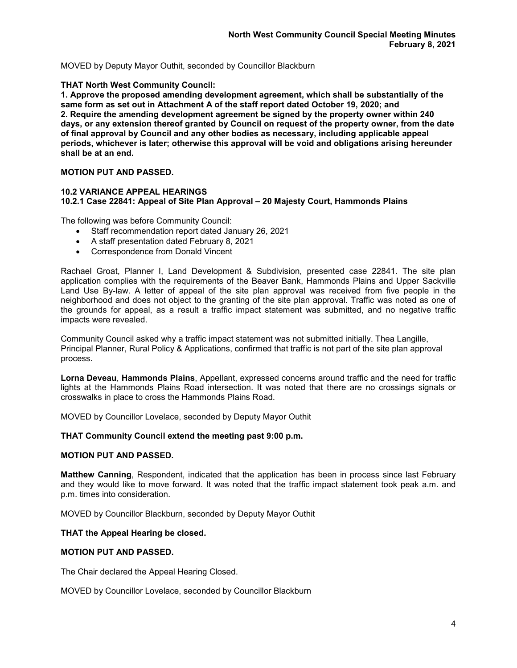MOVED by Deputy Mayor Outhit, seconded by Councillor Blackburn

## **THAT North West Community Council:**

**1. Approve the proposed amending development agreement, which shall be substantially of the same form as set out in Attachment A of the staff report dated October 19, 2020; and 2. Require the amending development agreement be signed by the property owner within 240 days, or any extension thereof granted by Council on request of the property owner, from the date of final approval by Council and any other bodies as necessary, including applicable appeal periods, whichever is later; otherwise this approval will be void and obligations arising hereunder shall be at an end.**

# **MOTION PUT AND PASSED.**

### **10.2 VARIANCE APPEAL HEARINGS 10.2.1 Case 22841: Appeal of Site Plan Approval – 20 Majesty Court, Hammonds Plains**

The following was before Community Council:

- Staff recommendation report dated January 26, 2021
- A staff presentation dated February 8, 2021
- Correspondence from Donald Vincent

Rachael Groat, Planner I, Land Development & Subdivision, presented case 22841. The site plan application complies with the requirements of the Beaver Bank, Hammonds Plains and Upper Sackville Land Use By-law. A letter of appeal of the site plan approval was received from five people in the neighborhood and does not object to the granting of the site plan approval. Traffic was noted as one of the grounds for appeal, as a result a traffic impact statement was submitted, and no negative traffic impacts were revealed.

Community Council asked why a traffic impact statement was not submitted initially. Thea Langille, Principal Planner, Rural Policy & Applications, confirmed that traffic is not part of the site plan approval process.

**Lorna Deveau**, **Hammonds Plains**, Appellant, expressed concerns around traffic and the need for traffic lights at the Hammonds Plains Road intersection. It was noted that there are no crossings signals or crosswalks in place to cross the Hammonds Plains Road.

MOVED by Councillor Lovelace, seconded by Deputy Mayor Outhit

### **THAT Community Council extend the meeting past 9:00 p.m.**

### **MOTION PUT AND PASSED.**

**Matthew Canning**, Respondent, indicated that the application has been in process since last February and they would like to move forward. It was noted that the traffic impact statement took peak a.m. and p.m. times into consideration.

MOVED by Councillor Blackburn, seconded by Deputy Mayor Outhit

### **THAT the Appeal Hearing be closed.**

### **MOTION PUT AND PASSED.**

The Chair declared the Appeal Hearing Closed.

MOVED by Councillor Lovelace, seconded by Councillor Blackburn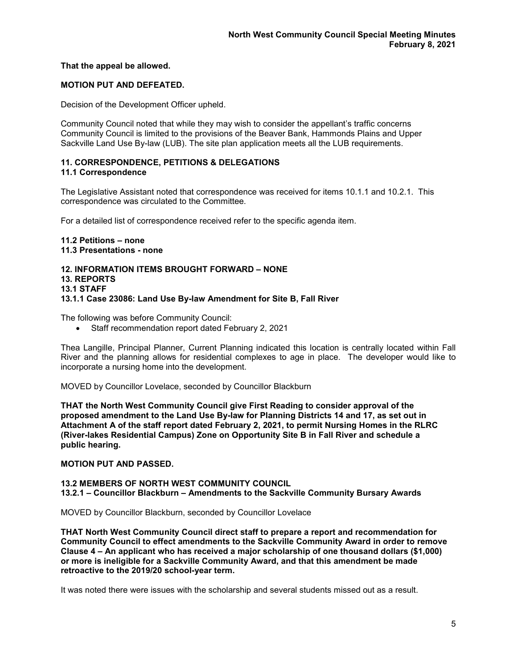## **That the appeal be allowed.**

# **MOTION PUT AND DEFEATED.**

Decision of the Development Officer upheld.

Community Council noted that while they may wish to consider the appellant's traffic concerns Community Council is limited to the provisions of the Beaver Bank, Hammonds Plains and Upper Sackville Land Use By-law (LUB). The site plan application meets all the LUB requirements.

# **11. CORRESPONDENCE, PETITIONS & DELEGATIONS**

# **11.1 Correspondence**

The Legislative Assistant noted that correspondence was received for items 10.1.1 and 10.2.1. This correspondence was circulated to the Committee.

For a detailed list of correspondence received refer to the specific agenda item.

**11.2 Petitions – none 11.3 Presentations - none**

#### **12. INFORMATION ITEMS BROUGHT FORWARD – NONE 13. REPORTS**

# **13.1 STAFF**

# **13.1.1 Case 23086: Land Use By-law Amendment for Site B, Fall River**

The following was before Community Council:

• Staff recommendation report dated February 2, 2021

Thea Langille, Principal Planner, Current Planning indicated this location is centrally located within Fall River and the planning allows for residential complexes to age in place. The developer would like to incorporate a nursing home into the development.

MOVED by Councillor Lovelace, seconded by Councillor Blackburn

**THAT the North West Community Council give First Reading to consider approval of the proposed amendment to the Land Use By-law for Planning Districts 14 and 17, as set out in Attachment A of the staff report dated February 2, 2021, to permit Nursing Homes in the RLRC (River-lakes Residential Campus) Zone on Opportunity Site B in Fall River and schedule a public hearing.**

# **MOTION PUT AND PASSED.**

### **13.2 MEMBERS OF NORTH WEST COMMUNITY COUNCIL 13.2.1 – Councillor Blackburn – Amendments to the Sackville Community Bursary Awards**

MOVED by Councillor Blackburn, seconded by Councillor Lovelace

**THAT North West Community Council direct staff to prepare a report and recommendation for Community Council to effect amendments to the Sackville Community Award in order to remove Clause 4 – An applicant who has received a major scholarship of one thousand dollars (\$1,000) or more is ineligible for a Sackville Community Award, and that this amendment be made retroactive to the 2019/20 school-year term.**

It was noted there were issues with the scholarship and several students missed out as a result.